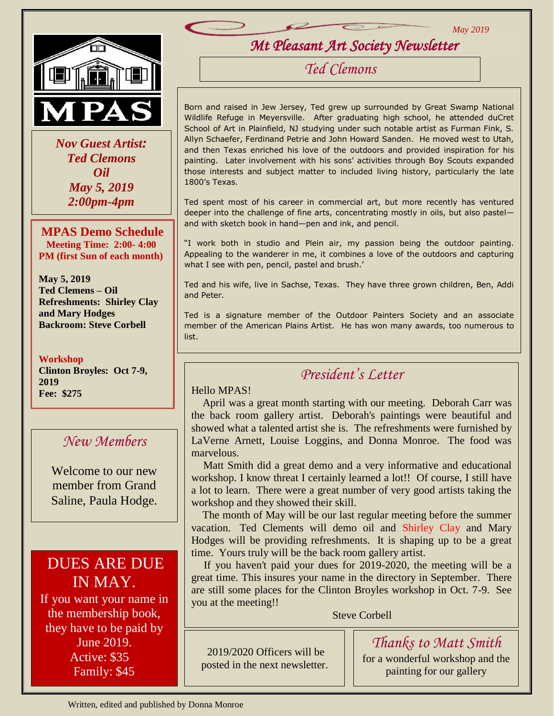

 *Nov Guest Artist: Ted Clemons Oil May 5, 2019 2:00pm-4pm*

**MPAS Demo Schedule Meeting Time: 2:00- 4:00 PM (first Sun of each month)**

**May 5, 2019 Ted Clemens – Oil Refreshments: Shirley Clay and Mary Hodges Backroom: Steve Corbell**

#### **Workshop**

**Clinton Broyles: Oct 7-9, 2019 Fee: \$275**

#### *New Members*

Welcome to our new member from Grand Saline, Paula Hodge.

# DUES ARE DUE IN MAY.

If you want your name in the membership book, they have to be paid by June 2019. Active: \$35 Family: \$45

*Mt Pleasant Art Society Newsletter* 

*May 2019*

*Ted Clemons*

Born and raised in Jew Jersey, Ted grew up surrounded by Great Swamp National Wildlife Refuge in Meyersville. After graduating high school, he attended duCret School of Art in Plainfield, NJ studying under such notable artist as Furman Fink, S. Allyn Schaefer, Ferdinand Petrie and John Howard Sanden. He moved west to Utah, and then Texas enriched his love of the outdoors and provided inspiration for his painting. Later involvement with his sons' activities through Boy Scouts expanded those interests and subject matter to included living history, particularly the late 1800's Texas.

Ted spent most of his career in commercial art, but more recently has ventured deeper into the challenge of fine arts, concentrating mostly in oils, but also pastel and with sketch book in hand—pen and ink, and pencil.

"I work both in studio and Plein air, my passion being the outdoor painting. Appealing to the wanderer in me, it combines a love of the outdoors and capturing what I see with pen, pencil, pastel and brush.'

Ted and his wife, live in Sachse, Texas. They have three grown children, Ben, Addi and Peter.

Ted is a signature member of the Outdoor Painters Society and an associate member of the American Plains Artist. He has won many awards, too numerous to list.

## *President's Letter*

#### Hello MPAS!

 April was a great month starting with our meeting. Deborah Carr was the back room gallery artist. Deborah's paintings were beautiful and showed what a talented artist she is. The refreshments were furnished by LaVerne Arnett, Louise Loggins, and Donna Monroe. The food was marvelous.

 Matt Smith did a great demo and a very informative and educational workshop. I know threat I certainly learned a lot!! Of course, I still have a lot to learn. There were a great number of very good artists taking the workshop and they showed their skill.

 The month of May will be our last regular meeting before the summer vacation. Ted Clements will demo oil and Shirley Clay and Mary Hodges will be providing refreshments. It is shaping up to be a great time. Yours truly will be the back room gallery artist.

 If you haven't paid your dues for 2019-2020, the meeting will be a great time. This insures your name in the directory in September. There are still some places for the Clinton Broyles workshop in Oct. 7-9. See you at the meeting!!

Steve Corbell

2019/2020 Officers will be posted in the next newsletter.

 $\overline{a}$ 

for a wonderful workshop and the painting for our gallery

*Thanks to Matt Smith*